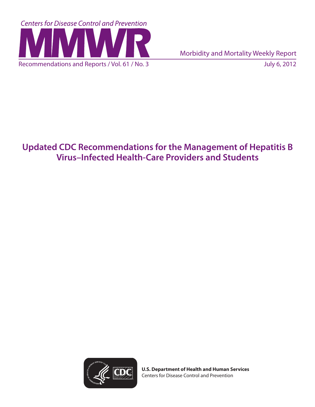

Morbidity and Mortality Weekly Report

# **Updated CDC Recommendations for the Management of Hepatitis B Virus–Infected Health-Care Providers and Students**



**U.S. Department of Health and Human Services** Centers for Disease Control and Prevention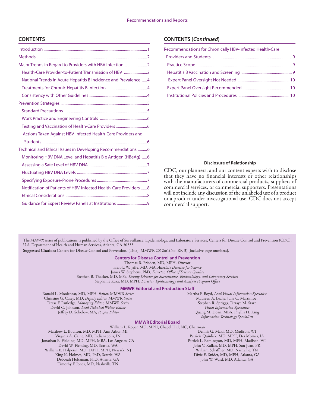### **CONTENTS**

| Major Trends in Regard to Providers with HBV Infection  2         |  |
|-------------------------------------------------------------------|--|
| Health-Care Provider-to-Patient Transmission of HBV               |  |
| National Trends in Acute Hepatitis B Incidence and Prevalence  4  |  |
|                                                                   |  |
|                                                                   |  |
|                                                                   |  |
|                                                                   |  |
|                                                                   |  |
|                                                                   |  |
| Actions Taken Against HBV-Infected Health-Care Providers and      |  |
|                                                                   |  |
| Technical and Ethical Issues in Developing Recommendations  6     |  |
| Monitoring HBV DNA Level and Hepatitis B e Antigen (HBeAg)  6     |  |
|                                                                   |  |
|                                                                   |  |
|                                                                   |  |
| Notification of Patients of HBV-Infected Health-Care Providers  8 |  |
|                                                                   |  |
| Guidance for Expert Review Panels at Institutions  9              |  |
|                                                                   |  |

### **CONTENTS (***Continued***)**

| Recommendations for Chronically HBV-Infected Health-Care |  |
|----------------------------------------------------------|--|
|                                                          |  |
|                                                          |  |
|                                                          |  |
|                                                          |  |
|                                                          |  |
|                                                          |  |
|                                                          |  |

### **Disclosure of Relationship**

CDC, our planners, and our content experts wish to disclose that they have no financial interests or other relationships with the manufacturers of commercial products, suppliers of commercial services, or commercial supporters. Presentations will not include any discussion of the unlabeled use of a product or a product under investigational use. CDC does not accept commercial support.

The *MMWR* series of publications is published by the Office of Surveillance, Epidemiology, and Laboratory Services, Centers for Disease Control and Prevention (CDC), U.S. Department of Health and Human Services, Atlanta, GA 30333.

**Suggested Citation:** Centers for Disease Control and Prevention. [Title]. MMWR 2012;61(No. RR-3):[inclusive page numbers].

### **Centers for Disease Control and Prevention**

Thomas R. Frieden, MD, MPH, *Director*

Harold W. Jaffe, MD, MA, *Associate Director for Science*

James W. Stephens, PhD, *Director, Office of Science Quality*

Stephen B. Thacker, MD, MSc, *Deputy Director for Surveillance, Epidemiology, and Laboratory Services* Stephanie Zaza, MD, MPH, *Director, Epidemiology and Analysis Program Office*

#### **MMWR Editorial and Production Staff**

Ronald L. Moolenaar, MD, MPH, *Editor,* MMWR *Series* Christine G. Casey, MD, *Deputy Editor,* MMWR *Series* Teresa F. Rutledge, *Managing Editor,* MMWR *Series* David C. Johnson, *Lead Technical Writer-Editor* Jeffrey D. Sokolow, MA, *Project Editor*

Martha F. Boyd, *Lead Visual Information Specialist* Maureen A. Leahy, Julia C. Martinroe, Stephen R. Spriggs, Terraye M. Starr *Visual Information Specialists* Quang M. Doan, MBA, Phyllis H. King *Information Technology Specialists*

### **MMWR Editorial Board**

William L. Roper, MD, MPH, Chapel Hill, NC, Chairman

Matthew L. Boulton, MD, MPH, Ann Arbor, MI Virginia A. Caine, MD, Indianapolis, IN Jonathan E. Fielding, MD, MPH, MBA, Los Angeles, CA David W. Fleming, MD, Seattle, WA William E. Halperin, MD, DrPH, MPH, Newark, NJ King K. Holmes, MD, PhD, Seattle, WA Deborah Holtzman, PhD, Atlanta, GA Timothy F. Jones, MD, Nashville, TN

Dennis G. Maki, MD, Madison, WI Patricia Quinlisk, MD, MPH, Des Moines, IA Patrick L. Remington, MD, MPH, Madison, WI John V. Rullan, MD, MPH, San Juan, PR William Schaffner, MD, Nashville, TN Dixie E. Snider, MD, MPH, Atlanta, GA John W. Ward, MD, Atlanta, GA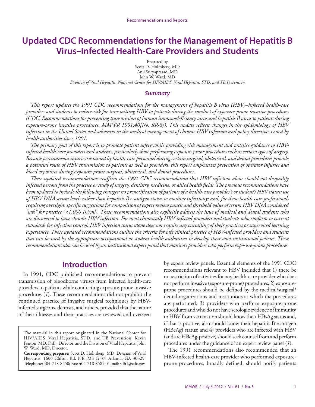# <span id="page-2-0"></span>**Updated CDC Recommendations for the Management of Hepatitis B Virus–Infected Health-Care Providers and Students**

Prepared by Scott D. Holmberg, MD Anil Suryaprasad, MD John W. Ward, MD *Division of Viral Hepatitis, National Center for HIV/AIDS, Viral Hepatitis, STD, and TB Prevention* 

### *Summary*

*This report updates the 1991 CDC recommendations for the management of hepatitis B virus (HBV)*–*infected health-care providers and students to reduce risk for transmitting HBV to patients during the conduct of exposure-prone invasive procedures (CDC. Recommendations for preventing transmission of human immunodeficiency virus and hepatitis B virus to patients during exposure-prone invasive procedures. MMWR 1991;40[No. RR-8]). This update reflects changes in the epidemiology of HBV infection in the United States and advances in the medical management of chronic HBV infection and policy directives issued by health authorities since 1991.* 

*The primary goal of this report is to promote patient safety while providing risk management and practice guidance to HBVinfected health-care providers and students, particularly those performing exposure-prone procedures such as certain types of surgery. Because percutaneous injuries sustained by health-care personnel during certain surgical, obstetrical, and dental procedures provide a potential route of HBV transmission to patients as well as providers, this report emphasizes prevention of operator injuries and blood exposures during exposure-prone surgical, obstetrical, and dental procedures.* 

*These updated recommendations reaffirm the 1991 CDC recommendation that HBV infection alone should not disqualify infected persons from the practice or study of surgery, dentistry, medicine, or allied health fields. The previous recommendations have been updated to include the following changes: no prenotification of patients of a health-care provider's or student's HBV status; use of HBV DNA serum levels rather than hepatitis B e-antigen status to monitor infectivity; and, for those health-care professionals requiring oversight, specific suggestions for composition of expert review panels and threshold value of serum HBV DNA considered "safe" for practice (<1,000 IU/ml). These recommendations also explicitly address the issue of medical and dental students who are discovered to have chronic HBV infection. For most chronically HBV-infected providers and students who conform to current standards for infection control, HBV infection status alone does not require any curtailing of their practices or supervised learning experiences. These updated recommendations outline the criteria for safe clinical practice of HBV-infected providers and students that can be used by the appropriate occupational or student health authorities to develop their own institutional policies. These recommendations also can be used by an institutional expert panel that monitors providers who perform exposure-prone procedures.* 

### **Introduction**

In 1991, CDC published recommendations to prevent transmission of bloodborne viruses from infected health-care providers to patients while conducting exposure-prone invasive procedures (*1*). These recommendations did not prohibit the continued practice of invasive surgical techniques by HBVinfected surgeons, dentists, and others, provided that the nature of their illnesses and their practices are reviewed and overseen

**Corresponding preparer:** Scott D. Holmberg, MD, Division of Viral Hepatitis, 1600 Clifton Rd, NE, MS G-37, Atlanta, GA 30329. Telephone: 404-718-8550; Fax: 404-718-8585; E-mail: [sdh1@cdc.gov](mailto:sdh1@cdc.gov).

by expert review panels. Essential elements of the 1991 CDC recommendations relevant to HBV included that 1) there be no restriction of activities for any health-care provider who does not perform invasive (exposure-prone) procedures; 2) exposureprone procedures should be defined by the medical/surgical/ dental organizations and institutions at which the procedures are performed; 3) providers who perform exposure-prone procedures and who do not have serologic evidence of immunity to HBV from vaccination should know their HBsAg status and, if that is positive, also should know their hepatitis B e-antigen (HBeAg) status; and 4) providers who are infected with HBV (and are HBeAg-positive) should seek counsel from and perform procedures under the guidance of an expert review panel (*1*).

The 1991 recommendations also recommended that an HBV-infected health-care provider who performed exposureprone procedures, broadly defined, should notify patients

The material in this report originated in the National Center for HIV/AIDS, Viral Hepatitis, STD, and TB Prevention, Kevin Fenton, MD, PhD, Director, and the Division of Viral Hepatitis, John W. Ward, MD, Director.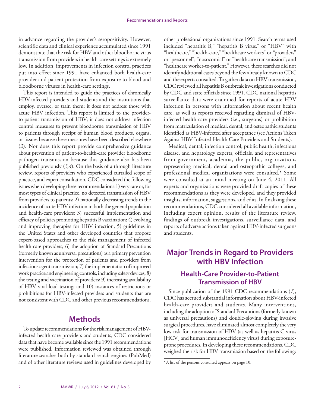<span id="page-3-0"></span>in advance regarding the provider's seropositivity. However, scientific data and clinical experience accumulated since 1991 demonstrate that the risk for HBV and other bloodborne virus transmission from providers in health-care settings is extremely low. In addition, improvements in infection control practices put into effect since 1991 have enhanced both health-care provider and patient protection from exposure to blood and bloodborne viruses in health-care settings.

This report is intended to guide the practices of chronically HBV-infected providers and students and the institutions that employ, oversee, or train them; it does not address those with acute HBV infection. This report is limited to the providerto-patient transmission of HBV; it does not address infection control measures to prevent bloodborne transmission of HBV to patients through receipt of human blood products, organs, or tissues because these measures have been described elsewhere (*2*). Nor does this report provide comprehensive guidance about prevention of patient-to-health-care provider bloodborne pathogen transmission because this guidance also has been published previously (*3,4*). On the basis of a through literature review, reports of providers who experienced curtailed scope of practice, and expert consultation, CDC considered the following issues when developing these recommendations:1) very rare or, for most types of clinical practice, no detected transmission of HBV from providers to patients; 2) nationally decreasing trends in the incidence of acute HBV infection in both the general population and health-care providers; 3) successful implementation and efficacy of policies promoting hepatitis B vaccination; 4) evolving and improving therapies for HBV infection; 5) guidelines in the United States and other developed countries that propose expert-based approaches to the risk management of infected health-care providers; 6) the adoption of Standard Precautions (formerly known as universal precautions) as a primary prevention intervention for the protection of patients and providers from infectious agent transmission; 7) the implementation of improved work practice and engineering controls, including safety devices; 8) the testing and vaccination of providers; 9) increasing availability of HBV viral load testing; and 10) instances of restrictions or prohibitions for HBV-infected providers and students that are not consistent with CDC and other previous recommendations.

### **Methods**

To update recommendations for the risk management of HBVinfected health-care providers and students, CDC considered data that have become available since the 1991 recommendations were published. Information reviewed was obtained through literature searches both by standard search engines (PubMed) and of other literature reviews used in guidelines developed by

other professional organizations since 1991. Search terms used included "hepatitis B," "hepatitis B virus," or "HBV" with "healthcare," "health-care," "healthcare workers" or "providers" or "personnel"; "nosocomial" or "healthcare transmission"; and "healthcare worker-to-patient." However, these searches did not identify additional cases beyond the few already known to CDC and the experts consulted. To gather data on HBV transmission, CDC reviewed all hepatitis B outbreak investigations conducted by CDC and state officials since 1991. CDC national hepatitis surveillance data were examined for reports of acute HBV infection in persons with information about recent health care, as well as reports received regarding dismissal of HBVinfected health-care providers (i.e., surgeons) or prohibition from matriculation of medical, dental, and osteopathic students identified as HBV-infected after acceptance (see Actions Taken Against HBV-Infected Health Care Providers and Students).

Medical, dental, infection control, public health, infectious disease, and hepatology experts, officials, and representatives from government, academia, the public, organizations representing medical, dental and osteopathic colleges, and professional medical organizations were consulted.\* Some were consulted at an initial meeting on June 4, 2011. All experts and organizations were provided draft copies of these recommendations as they were developed, and they provided insights, information, suggestions, and edits.In finalizing these recommendations, CDC considered all available information, including expert opinion, results of the literature review, findings of outbreak investigations, surveillance data, and reports of adverse actions taken against HBV-infected surgeons and students.

# **Major Trends in Regard to Providers with HBV Infection**

### **Health-Care Provider-to-Patient Transmission of HBV**

Since publication of the 1991 CDC recommendations (*1*), CDC has accrued substantial information about HBV-infected health-care providers and students. Many interventions, including the adoption of Standard Precautions (formerly known as universal precautions) and double-gloving during invasive surgical procedures, have eliminated almost completely the very low risk for transmission of HBV (as well as hepatitis C virus [HCV] and human immunodeficiency virus) during exposureprone procedures. In developing these recommendations, CDC weighed the risk for HBV transmission based on the following:

<sup>\*</sup>A list of the persons consulted appears on page 10.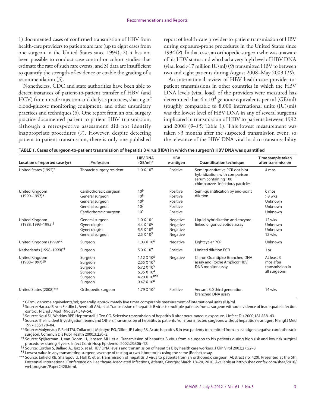1) documented cases of confirmed transmission of HBV from health-care providers to patients are rare (up to eight cases from one surgeon in the United States since 1994), 2) it has not been possible to conduct case-control or cohort studies that estimate the rate of such rare events, and 3) data are insufficient to quantify the strength-of-evidence or enable the grading of a recommendation (*5*).

Nonetheless, CDC and state authorities have been able to detect instances of patient-to-patient transfer of HBV (and HCV) from unsafe injection and dialysis practices, sharing of blood-glucose monitoring equipment, and other unsanitary practices and techniques (*6*). One report from an oral surgery practice documented patient-to-patient HBV transmission, although a retrospective assessment did not identify inappropriate procedures (*7*). However, despite detecting patient-to-patient transmission, there is only one published

report of health-care provider-to-patient transmission of HBV during exposure-prone procedures in the United States since 1994 (*8*). In that case, an orthopedic surgeon who was unaware of his HBV status and who had a very high level of HBV DNA (viral load >17 million IU/ml) (*9*) transmitted HBV to between two and eight patients during August 2008–May 2009 (*10*).

An international review of HBV health-care provider-topatient transmissions in other countries in which the HBV DNA levels (viral load) of the providers were measured has determined that  $4 \times 10^4$  genome equivalents per ml (GE/ml) (roughly comparable to 8,000 international units (IU)/ml) was the lowest level of HBV DNA in any of several surgeons implicated in transmission of HBV to patients between 1992 and 2008 (*9–15*; Table 1). This lowest measurement was taken >3 months after the suspected transmission event, so the relevance of the HBV DNA viral load to transmissibility

| TABLE 1. Cases of surgeon-to-patient transmission of hepatitis B virus (HBV) in which the surgeon's HBV DNA was quantified |  |  |  |
|----------------------------------------------------------------------------------------------------------------------------|--|--|--|
|----------------------------------------------------------------------------------------------------------------------------|--|--|--|

| Location of reported case (yr)           | Profession                                                                                                | <b>HBV DNA</b><br>$(GE/ml)^*$                                                                                                          | <b>HBV</b><br>e-antigen                                  | <b>Quantification technique</b>                                                                                              | Time sample taken<br>after transmission                    |
|------------------------------------------|-----------------------------------------------------------------------------------------------------------|----------------------------------------------------------------------------------------------------------------------------------------|----------------------------------------------------------|------------------------------------------------------------------------------------------------------------------------------|------------------------------------------------------------|
| United States (1992) <sup>†</sup>        | Thoracic surgery resident                                                                                 | 1.0 X 10 <sup>9</sup>                                                                                                                  | Positive                                                 | Semi-quantitative PCR dot-blot<br>hybridization, with comparison<br>serum containing 108<br>chimpanzee- infectious particles | 4 mos                                                      |
| United Kingdom<br>$(1990 - 1997)^{5}$    | Cardiothoracic surgeon<br>General surgeon<br>General surgeon<br>General surgeon<br>Cardiothoracic surgeon | $10^{9}$<br>$10^{8}$<br>$10^{9}$<br>10 <sup>7</sup><br>$10^{5}$                                                                        | Positive<br>Positive<br>Positive<br>Positive<br>Positive | Semi-quantification by end-point<br>dilution                                                                                 | 6 mos<br>>8 wks<br>Unknown<br>Unknown<br>Unknown           |
| United Kingdom<br>$(1988, 1993 - 1995)^$ | General surgeon<br>Gynecologist<br>Gynecologist<br>General surgeon                                        | $1.0 \times 10^7$<br>$4.4 \times 10^6$<br>5.5 X 10 <sup>6</sup><br>2.5 X 10 <sup>5</sup>                                               | Negative<br>Negative<br>Negative<br>Negative             | Liquid hybridization and enzyme-<br>linked oligonucleotide assay                                                             | 12 wks<br>Unknown<br>Unknown<br>12 wks                     |
| United Kingdom (1999)**                  | Surgeon                                                                                                   | 1.03 X 10 <sup>6</sup>                                                                                                                 | Negative                                                 | Lightcycler PCR                                                                                                              | Unknown                                                    |
| Netherlands (1998-1999) <sup>††</sup>    | Surgeon                                                                                                   | 5.0 X 10 <sup>9</sup>                                                                                                                  | Positive                                                 | Limited dilution PCR                                                                                                         | 1 yr                                                       |
| United Kingdom<br>$(1988 - 1997)^{55}$   | Surgeon<br>Surgeon<br>Surgeon<br>Surgeon<br>Surgeon<br>Surgeon                                            | $1.12 \times 10^8$<br>2.55 X 10 <sup>5</sup><br>$6.72 \times 10^5$<br>6.35 X 10 <sup>4</sup><br>4.20 X 10811<br>9.47 X 10 <sup>8</sup> | Negative                                                 | Chiron Quantiplex Branched DNA<br>assay and Roche Amplicor HBV<br>DNA monitor assay                                          | At least 3<br>mos after<br>transmission in<br>all surgeons |
| United States (2008)***                  | Orthopedic surgeon                                                                                        | 1.79X10 <sup>7</sup>                                                                                                                   | Positive                                                 | Versant 3.0 third generation<br>branched DNA assay                                                                           | 14 wks                                                     |

\* GE/ml, genome equivalents/ml; generally, approximately five times comparable measurement of international units (IU)/ml.

† Source: Harpaz R, von Seidlin L, Averhoff AM, et al. Transmission of hepatitis B virus to multiple patients from a surgeon without evidence of inadequate infection control. N Engl J Med 1996;334:549–54.

§ Source: Ngui SL, Watkins RPF, Heptonstall J, Teo CG. Selective transmission of hepatitis B after percutaneous exposure. J Infect Dis 2000;181:838–43.

¶ Source: The Incident Investigation Teams and Others. Transmission of hepatitis to patients from four infected surgeons without hepatitis B e antigen. N Engl J Med 1997;336:178–84.

\*\* Source: Molyneaux P, Reid TM, Collacott I, Mcintyre PG, Dillon JF, Laing RB. Acute hepatitis B in two patients transmitted from an e antigen negative cardiothoracic surgeon. Commun Dis Publ Health 2000;3:250–2.

†† Source: Spijkerman IJ, van Doorn LJ, Janssen MH, et al. Transmission of hepatitis B virus from a surgeon to his patients during high risk and low risk surgical procedures during 4 years. Infect Contr Hosp Epidemiol 2002;23:306–12.

§§ Source: Corden S, Ballard AJ, Ijaz S, et al. HBV DNA levels and transmission of hepatitis B by health care workers. J Clin Virol 2003;27:52-8.

¶¶ Lowest value in any transmitting surgeon; average of testing at two laboratories using the same (Roche) assay.

\*\*\* Source: Enfield KB, Sharapov U, Hall K, et al. Transmission of hepatitis B virus to patients from an orthopedic surgeon [Abstract no. 420]. Presented at the 5th Decennial International Conference on Healthcare-Associated Infections, Atlanta, Georgia; March 18–20, 2010. Available at [http://shea.confex.com/shea/2010/](http://shea.confex.com/shea/2010/webprogram/Paper2428.html) [webprogram/Paper2428.html.](http://shea.confex.com/shea/2010/webprogram/Paper2428.html)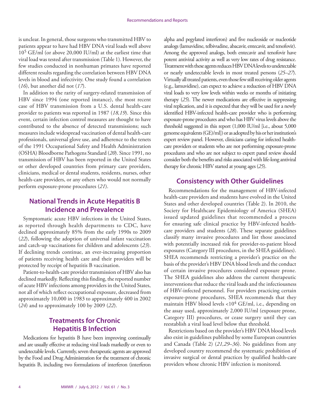<span id="page-5-0"></span>is unclear. In general, those surgeons who transmitted HBV to patients appear to have had HBV DNA viral loads well above  $10^5$  GE/ml (or above 20,000 IU/ml) at the earliest time that viral load was tested after transmission (Table 1). However, the few studies conducted in nonhuman primates have reported different results regarding the correlation between HBV DNA levels in blood and infectivity. One study found a correlation (*16*), but another did not (*17*).

In addition to the rarity of surgery-related transmission of HBV since 1994 (one reported instance), the most recent case of HBV transmission from a U.S. dental health-care provider to patients was reported in 1987 (*18,19*). Since this event, certain infection control measures are thought to have contributed to the absence of detected transmissions; such measures include widespread vaccination of dental health-care professionals, universal glove use, and adherence to the tenets of the 1991 Occupational Safety and Health Administration (OSHA) Bloodborne Pathogens Standard (*20*). Since 1991, no transmission of HBV has been reported in the United States or other developed countries from primary care providers, clinicians, medical or dental students, residents, nurses, other health-care providers, or any others who would not normally perform exposure-prone procedures (*21*).

# **National Trends in Acute Hepatitis B Incidence and Prevalence**

Symptomatic acute HBV infections in the United States, as reported through health departments to CDC, have declined approximately 85% from the early 1990s to 2009 (*22*), following the adoption of universal infant vaccination and catch-up vaccinations for children and adolescents (*23*). If declining trends continue, an ever-increasing proportion of patients receiving health care and their providers will be protected by receipt of hepatitis B vaccination.

Patient-to-health-care provider transmission of HBV also has declined markedly. Reflecting this finding, the reported number of acute HBV infections among providers in the United States, not all of which reflect occupational exposure, decreased from approximately 10,000 in 1983 to approximately 400 in 2002 (*24*) and to approximately 100 by 2009 (*22*).

### **Treatments for Chronic Hepatitis B Infection**

Medications for hepatitis B have been improving continually and are usually effective at reducing viral loads markedly or even to undetectable levels. Currently, seven therapeutic agents are approved by the Food and Drug Administration for the treatment of chronic hepatitis B, including two formulations of interferon (interferon alpha and pegylated interferon) and five nucleoside or nucleotide analogs (lamuvidine, telbivudine, abacavir, entecavir, and tenofovir). Among the approved analogs, both entecavir and tenofovir have potent antiviral activity as well as very low rates of drug resistance. Treatment with these agents reduces HBV DNA levels to undetectable or nearly undetectable levels in most treated persons (*25–27*). Virtually all treated patients, even those few still receiving older agents (e.g., lamuvidine), can expect to achieve a reduction of HBV DNA viral loads to very low levels within weeks or months of initiating therapy (*25*). The newer medications are effective in suppressing viral replication, and it is expected that they will be used for a newly identified HBV-infected health-care provider who is performing exposure-prone procedures and who has HBV virus levels above the threshold suggested in this report (1,000 IU/ml [i.e., about 5,000 genome equivalents (GE)/ml]) or as adopted by his or her institution's expert review panel. However, clinicians caring for infected healthcare providers or students who are not performing exposure-prone procedures and who are not subject to expert panel review should consider both the benefits and risks associated with life-long antiviral therapy for chronic HBV started at young ages (*25*).

### **Consistency with Other Guidelines**

Recommendations for the management of HBV-infected health-care providers and students have evolved in the United States and other developed countries (Table 2). In 2010, the Society for Healthcare Epidemiology of America (SHEA) issued updated guidelines that recommended a process for ensuring safe clinical practice by HBV-infected healthcare providers and students (*28*). These separate guidelines classify many invasive procedures and list those associated with potentially increased risk for provider-to-patient blood exposures (Category III procedures, in the SHEA guidelines). SHEA recommends restricting a provider's practice on the basis of the provider's HBV DNA blood levels and the conduct of certain invasive procedures considered exposure prone. The SHEA guidelines also address the current therapeutic interventions that reduce the viral loads and the infectiousness of HBV-infected personnel. For providers practicing certain exposure-prone procedures, SHEA recommends that they maintain HBV blood levels  $<10^4$  GE/ml, i.e., depending on the assay used, approximately 2,000 IU/ml (exposure prone, Category III) procedures, or cease surgery until they can reestablish a viral load level below that threshold.

Restrictions based on the provider's HBV DNA blood levels also exist in guidelines published by some European countries and Canada (Table 2) (*21,29*–*36*). No guidelines from any developed country recommend the systematic prohibition of invasive surgical or dental practices by qualified health-care providers whose chronic HBV infection is monitored.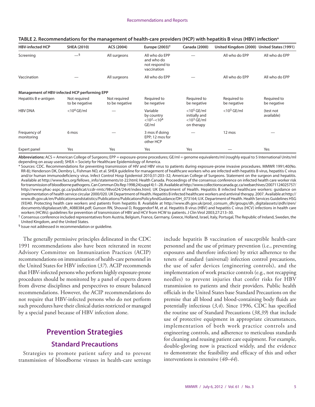| <b>HBV-infected HCP</b>                       | <b>SHEA (2010)</b>             | ACS (2004)                     | Europe $(2003)^{\dagger}$                                     | <b>Canada (2000)</b>                                                                  | United Kingdom (2000) United States (1991) |                            |
|-----------------------------------------------|--------------------------------|--------------------------------|---------------------------------------------------------------|---------------------------------------------------------------------------------------|--------------------------------------------|----------------------------|
| Screening                                     | $-$ §                          | All surgeons                   | All who do EPP<br>and who do<br>not respond to<br>vaccination |                                                                                       | All who do EPP                             | All who do EPP             |
| Vaccination                                   |                                | All surgeons                   | All who do EPP                                                |                                                                                       | All who do EPP                             | All who do EPP             |
| Management of HBV-infected HCP performing EPP |                                |                                |                                                               |                                                                                       |                                            |                            |
| Hepatitis B e-antigen                         | Not required<br>to be negative | Not required<br>to be negative | Required to<br>be negative                                    | Required to<br>be negative                                                            | Required to<br>be negative                 | Required to<br>be negative |
| <b>HBV DNA</b>                                | $<$ 10 <sup>4</sup> GE/ml      |                                | Variable<br>by country<br>$< 10^2 - < 10^4$<br>GE/ml          | $<$ 10 <sup>5</sup> GE/ml<br>initially and<br>$<$ 10 <sup>3</sup> GE/ml<br>on therapy | $<$ 10 <sup>3</sup> GE/ml                  | (test not<br>available)    |
| Frequency of<br>monitoring                    | 6 mos                          |                                | 3 mos if doing<br>EPP; 12 mos for<br>other HCP                |                                                                                       | 12 mos                                     |                            |
| Expert panel                                  | Yes                            | Yes                            | Yes                                                           | Yes                                                                                   |                                            | Yes                        |

### <span id="page-6-0"></span>**TABLE 2. Recommendations for the management of health-care providers (HCP) with hepatitis B virus (HBV) infection\***

**Abbreviations:** ACS = American College of Surgeons; EPP = exposure-prone procedures; GE/ml = genome equivalents/ml (roughly equal to 5 International Units/ml depending on assay used); SHEA = Society for Healthcare Epidemiology of America.

\* Sources: CDC. Recommendations for preventing transmission of HIV and HBV virus to patients during exposure-prone invasive procedures. MMWR 1991;40(No. RR-8); Henderson DK, Dembry L, Fishman NO, et al. SHEA guideline for management of healthcare workers who are infected with hepatitis B virus, hepatitis C virus and/or human immunodeficiency virus. Infect Control Hosp Epidemiol 2010;31:203–32; American College of Surgeons. Statement on the surgeon and hepatitis. Available at [http://www.facs.org/fellows\\_info/statements/st-22.html](http://www.facs.org/fellows_info/statements/st-22.html); Health Canada. Proceedings of the consensus conference on infected health care worker risk for transmission of bloodborne pathogens. Can Commun Dis Rep 1998;24(suppl 4):1–28. Available at [http://www.collectionscanada.gc.ca/webarchives/20071124025757/](http://www.collectionscanada.gc.ca/webarchives/20071124025757/http://www.phac-aspc.gc.ca/publicat/ccdr-rmtc/98vol24/24s4/index.html) [http://www.phac-aspc.gc.ca/publicat/ccdr-rmtc/98vol24/24s4/index.html](http://www.collectionscanada.gc.ca/webarchives/20071124025757/http://www.phac-aspc.gc.ca/publicat/ccdr-rmtc/98vol24/24s4/index.html); UK Department of Health. Hepatitis B infected healthcare workers: guidance on implementation of health service circular 2000/020. UK Department of Health. Hepatitis B infected healthcare workers and antiviral therapy. 2007. Available at [http://](http://www.dh.gov.uk/en/Publicationsandstatistics/Publications/PublicationsPolicyAndGuidance/DH_073164) [www.dh.gov.uk/en/Publicationsandstatistics/Publications/PublicationsPolicyAndGuidance/DH\\_073164;](http://www.dh.gov.uk/en/Publicationsandstatistics/Publications/PublicationsPolicyAndGuidance/DH_073164) U.K. Department of Health. Health Services Guidelines HSG (93)40. Protecting health care workers and patients from hepatitis B. Available at [http://www.dh.gov.uk/prod\\_consum\\_dh/groups/dh\\_digitalassets/@dh/@en/](http://www.dh.gov.uk/prod_consum_dh/groups/dh_digitalassets/@dh/@en/documents/digitalasset/dh_4088384.pdf) [documents/digitalasset/dh\\_4088384.pdf](http://www.dh.gov.uk/prod_consum_dh/groups/dh_digitalassets/@dh/@en/documents/digitalasset/dh_4088384.pdf); Gunson RN, Shouval D, Roggendorf M, et al. Hepatitis B virus (HBV) and hepatitis C virus (HCV) infections in health care workers (HCWs): guidelines for prevention of transmission of HBV and HCV from HCW to patients. J Clin Virol 2003;27:213–30.

 $^\dagger$  Consensus conference included representatives from Austria, Belgium, France, Germany, Greece, Holland, Israel, Italy, Portugal, The Republic of Ireland, Sweden, the United Kingdom, and the United States.

§ Issue not addressed in recommendation or guideline.

The generally permissive principles delineated in the CDC 1991 recommendations also have been reiterated in recent Advisory Committee on Immunization Practices (ACIP) recommendations on immunization of health-care personnel in the United States for HBV infection (*37*). ACIP recommends that HBV-infected persons who perform highly exposure-prone procedures should be monitored by a panel of experts drawn from diverse disciplines and perspectives to ensure balanced recommendations. However, the ACIP recommendations do not require that HBV-infected persons who do not perform such procedures have their clinical duties restricted or managed by a special panel because of HBV infection alone.

# **Prevention Strategies**

### **Standard Precautions**

Strategies to promote patient safety and to prevent transmission of bloodborne viruses in health-care settings include hepatitis B vaccination of susceptible health-care personnel and the use of primary prevention (i.e., preventing exposures and therefore infection) by strict adherence to the tenets of standard (universal) infection control precautions, the use of safer devices (engineering controls), and the implementation of work practice controls (e.g., not recapping needles) to prevent injuries that confer risks for HBV transmission to patients and their providers. Public health officials in the United States base Standard Precautions on the premise that all blood and blood-containing body fluids are potentially infectious (*3*,*4*). Since 1996, CDC has specified the routine use of Standard Precautions (*38,39*) that include use of protective equipment in appropriate circumstances, implementation of both work practice controls and engineering controls, and adherence to meticulous standards for cleaning and reusing patient care equipment. For example, double-gloving now is practiced widely, and the evidence to demonstrate the feasibility and efficacy of this and other interventions is extensive (*40*–*44*).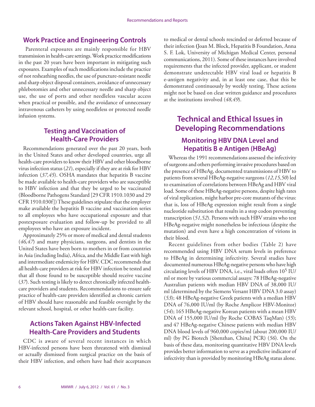### <span id="page-7-0"></span>**Work Practice and Engineering Controls**

 Parenteral exposures are mainly responsible for HBV transmission in health-care settings. Work practice modifications in the past 20 years have been important in mitigating such exposures. Examples of such modifications include the practice of not resheathing needles, the use of puncture-resistant needle and sharp object disposal containers, avoidance of unnecessary phlebotomies and other unnecessary needle and sharp object use, the use of ports and other needleless vascular access when practical or possible, and the avoidance of unnecessary intravenous catheters by using needleless or protected needle infusion systems.

# **Testing and Vaccination of Health-Care Providers**

Recommendations generated over the past 20 years, both in the United States and other developed countries, urge all health-care providers to know their HBV and other bloodborne virus infection status (*21*)*,* especially if they are at risk for HBV infection (*37,45*). OSHA mandates that hepatitis B vaccine be made available to health-care providers who are susceptible to HBV infection and that they be urged to be vaccinated (Bloodborne Pathogens Standard [29 CFR 1910.1030 and 29 CFR 1910.030f]) These guidelines stipulate that the employer make available the hepatitis B vaccine and vaccination series to all employees who have occupational exposure and that postexposure evaluation and follow-up be provided to all employees who have an exposure incident.

Approximately 25% or more of medical and dental students (*46,47*) and many physicians, surgeons, and dentists in the United States have been born to mothers in or from countries in Asia (including India), Africa, and the Middle East with high and intermediate endemicity for HBV. CDC recommends that all health-care providers at risk for HBV infection be tested and that all those found to be susceptible should receive vaccine (*37*). Such testing is likely to detect chronically infected healthcare providers and students. Recommendations to ensure safe practice of health-care providers identified as chronic carriers of HBV should have reasonable and feasible oversight by the relevant school, hospital, or other health-care facility.

### **Actions Taken Against HBV-Infected Health-Care Providers and Students**

CDC is aware of several recent instances in which HBV-infected persons have been threatened with dismissal or actually dismissed from surgical practice on the basis of their HBV infection, and others have had their acceptances

to medical or dental schools rescinded or deferred because of their infection **(**Joan M. Block, Hepatitis B Foundation, Anna S. F. Lok, University of Michigan Medical Center, personal communications, 2011). Some of these instances have involved requirements that the infected provider, applicant, or student demonstrate undetectable HBV viral load or hepatitis B e-antigen negativity and, in at least one case, that this be demonstrated continuously by weekly testing. These actions might not be based on clear written guidance and procedures at the institutions involved (*48,49*).

# **Technical and Ethical Issues in Developing Recommendations**

# **Monitoring HBV DNA Level and Hepatitis B e Antigen (HBeAg)**

Whereas the 1991 recommendations assessed the infectivity of surgeons and others performing invasive procedures based on the presence of HBeAg, documented transmissions of HBV to patients from several HBeAg-negative surgeons (*12,15,50*) led to examination of correlations between HBeAg and HBV viral load. Some of these HBeAg-negative persons, despite high rates of viral replication, might harbor pre-core mutants of the virus: that is, loss of HBeAg expression might result from a single nucleotide substitution that results in a stop codon preventing transcription (*51,52*). Persons with such HBV strains who test HBeAg-negative might nonetheless be infectious (despite the mutation) and even have a high concentration of virions in their blood.

Recent guidelines from other bodies (Table 2) have recommended using HBV DNA serum levels in preference to HBeAg in determining infectivity. Several studies have documented numerous HBeAg-negative persons who have high circulating levels of HBV DNA, i.e., viral loads often 105 IU/ ml or more by various commercial assays: 78 HBeAg-negative Australian patients with median HBV DNA of 38,000 IU/ ml (determined by the Siemens Versant HBV DNA 3.0 assay) (*53*); 48 HBeAg-negative Greek patients with a median HBV DNA of 76,000 IU/ml (by Roche Amplicor HBV-Monitor) (*54*); 165 HBeAg-negative Korean patients with a mean HBV DNA of 155,000 IU/ml (by Roche COBAS TaqMan) (*55*); and 47 HBeAg-negative Chinese patients with median HBV DNA blood levels of 960,000 copies/ml (about 200,000 IU/ ml) (by PG Biotech [Shenzhan, China] PCR) (*56*). On the basis of these data, monitoring quantitative HBV DNA levels provides better information to serve as a predictive indicator of infectivity than is provided by monitoring HBeAg status alone.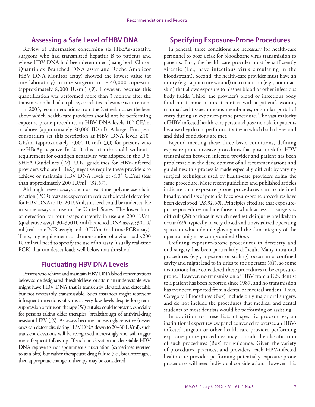### <span id="page-8-0"></span>**Assessing a Safe Level of HBV DNA**

Review of information concerning six HBeAg-negative surgeons who had transmitted hepatitis B to patients and whose HBV DNA had been determined (using both Chiron Quantiplex Branched DNA assay and Roche Amplicor HBV DNA Monitor assay) showed the lowest value (at one laboratory) in one surgeon to be 40,000 copies/ml (approximately 8,000 IU/ml) (*9*). However, because this quantification was performed more than 3 months after the transmission had taken place, correlative relevance is uncertain.

In 2003, recommendations from the Netherlands set the level above which health-care providers should not be performing exposure prone procedures at HBV DNA levels 10<sup>5</sup> GE/ml or above (approximately 20,000 IU/ml). A larger European consortium set this restriction at HBV DNA levels  $\geq 10^4$ GE/ml (approximately 2,000 IU/ml) (*33*) for persons who are HBeAg-negative. In 2010, this latter threshold, without a requirement for e-antigen negativity, was adopted in the U.S. SHEA Guidelines (*28*). U.K. guidelines for HBV-infected providers who are HBeAg-negative require these providers to achieve or maintain HBV DNA levels of  $\langle 10^3 \text{ }$ GE/ml (less than approximately 200 IU/ml) (*31,57*).

Although newer assays such as real-time polymerase chain reaction (PCR) tests are expected to reduce the level of detection for HBV DNA to 10–20 IU/ml, this level could be undetectable in some assays in use in the United States. The lower limit of detection for four assays currently in use are 200 IU/ml (qualitative assay); 30–350 IU/ml (branched DNA assay); 30 IU/ ml (real-time PCR assay); and 10 IU/ml (real-time PCR assay). Thus, any requirement for demonstration of a viral load <200 IU/ml will need to specify the use of an assay (usually real-time PCR) that can detect loads well below that threshold.

### **Fluctuating HBV DNA Levels**

Persons who achieve and maintain HBV DNA blood concentrations below some designated threshold level or attain an undetectable level might have HBV DNA that is transiently elevated and detectable but not necessarily transmissible. Such instances might represent infrequent detections of virus at very low levels despite long-term suppression of virus on therapy (*58*) but also could represent, especially for persons taking older therapies, breakthrough of antiviral-drug resistant HBV (*59*). As assays become increasingly sensitive (newer ones can detect circulating HBV DNA down to 20–30 IU/ml), such transient elevations will be recognized increasingly and will trigger more frequent follow-up. If such an elevation in detectable HBV DNA represents not spontaneous fluctuation (sometimes referred to as a blip) but rather therapeutic drug failure (i.e., breakthrough), then appropriate change in therapy may be considered.

### **Specifying Exposure-Prone Procedures**

In general, three conditions are necessary for health-care personnel to pose a risk for bloodborne virus transmission to patients. First, the health-care provider must be sufficiently viremic (i.e., have infectious virus circulating in the bloodstream). Second, the health-care provider must have an injury (e.g., a puncture wound) or a condition (e.g., nonintact skin) that allows exposure to his/her blood or other infectious body fluids. Third, the provider's blood or infectious body fluid must come in direct contact with a patient's wound, traumatized tissue, mucous membranes, or similar portal of entry during an exposure-prone procedure. The vast majority of HBV-infected health-care personnel pose no risk for patients because they do not perform activities in which both the second and third conditions are met.

Beyond meeting these three basic conditions, defining exposure-prone invasive procedures that pose a risk for HBV transmission between infected provider and patient has been problematic in the development of all recommendations and guidelines; this process is made especially difficult by varying surgical techniques used by health-care providers doing the same procedure. More recent guidelines and published articles indicate that exposure-prone procedures can be defined broadly, and lists of potentially exposure-prone procedures have been developed (*28,31,60*). Principles cited are that exposureprone procedures include those in which access for surgery is difficult (*28*) or those in which needlestick injuries are likely to occur (*60*), typically in very closed and unvisualized operating spaces in which double gloving and the skin integrity of the operator might be compromised (Box).

Defining exposure-prone procedures in dentistry and oral surgery has been particularly difficult. Many intra-oral procedures (e.g., injection or scaling) occur in a confined cavity and might lead to injuries to the operator (*61*), so some institutions have considered these procedures to be exposureprone. However, no transmission of HBV from a U.S. dentist to a patient has been reported since 1987, and no transmission has ever been reported from a dental or medical student. Thus, Category I Procedures (Box) include only major oral surgery, and do not include the procedures that medical and dental students or most dentists would be performing or assisting.

In addition to these lists of specific procedures, an institutional expert review panel convened to oversee an HBVinfected surgeon or other health-care provider performing exposure-prone procedures may consult the classification of such procedures (Box) for guidance. Given the variety of procedures, practices, and providers, each HBV-infected health-care provider performing potentially exposure-prone procedures will need individual consideration. However, this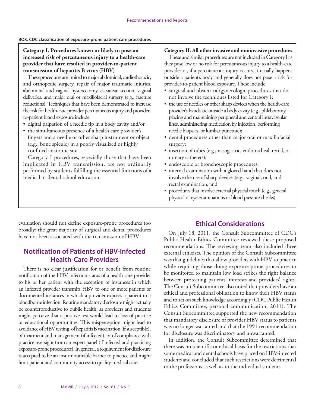### <span id="page-9-0"></span>**BOX. CDC classification of exposure-prone patient care procedures**

# **Category I. Procedures known or likely to pose an Category II. All other invasive and noninvasive procedures increased risk of percutaneous injury to a health-care** These and similar procedures are not included in Category I as

and orthopedic surgery, repair of major traumatic injuries, abdominal and vaginal hysterectomy, caesarean section, vaginal . In surgical and obstetrical/gynecologic procedures that do deliveries, and major oral or maxillofacial surgery (e.g., fracture not involve the techniques listed for Category I; reductions). Techniques that have been demonstrated to increase • the use of needles or other sharp devices when the health-care the risk for health-care provider percutaneous injury and provider- provider's hands are outside a body cavity (e.g., phlebotomy, to-patient blood exposure include placing and maintaining peripheral and central intravascular

- digital palpation of a needle tip in a body cavity and/or lines, administering medication by injection, performing
- the simultaneous presence of a health care provider's needle biopsies, or lumbar puncture); (e.g., bone spicule) in a poorly visualized or highly surgery;

Category I procedures, especially those that have been urinary catheters); implicated in HBV transmission, are not ordinarily • endoscopic or bronchoscopic procedures; performed by students fulfilling the essential functions of a • internal examination with a gloved hand that does not medical or dental school education. involve the use of sharp devices (e.g., vaginal, oral, and

**provider that have resulted in provider-to-patient** they pose low or no risk for percutaneous injury to a health-care **transmission of hepatitis B virus (HBV)** provider or, if a percutaneous injury occurs, it usually happens These procedures are limited to major abdominal, cardiothoracic, outside a patient's body and generally does not pose a risk for

- 
- 
- fingers and a needle or other sharp instrument or object dental procedures other than major oral or maxillofacial
- confined anatomic site. insertion of tubes (e.g., nasogastric, endotracheal, rectal, or
	-
	- rectal examination; and
	- procedures that involve external physical touch (e.g., general physical or eye examinations or blood pressure checks).

evaluation should not define exposure-prone procedures too broadly; the great majority of surgical and dental procedures have not been associated with the transmission of HBV.

# **Notification of Patients of HBV-Infected Health-Care Providers**

There is no clear justification for or benefit from routine notification of the HBV infection status of a health-care provider to his or her patient with the exception of instances in which an infected provider transmits HBV to one or more patients or documented instances in which a provider exposes a patient to a bloodborne infection. Routine mandatory disclosure might actually be counterproductive to public health, as providers and students might perceive that a positive test would lead to loss of practice or educational opportunities. This misperception might lead to avoidance of HBV testing, of hepatitis B vaccination (if susceptible), of treatment and management (if infected), or of compliance with practice oversight from an expert panel (if infected and practicing exposure-prone procedures). In general, a requirement for disclosure is accepted to be an insurmountable barrier to practice and might limit patient and community access to quality medical care.

### **Ethical Considerations**

On July 18, 2011, the Consult Subcommittee of CDC's Public Health Ethics Committee reviewed these proposed recommendations. The reviewing team also included three external ethicists. The opinion of the Consult Subcommittee was that guidelines that allow providers with HBV to practice while requiring those doing exposure-prone procedures to be monitored to maintain low load strikes the right balance between protecting patients' interests and providers' rights. The Consult Subcommittee also noted that providers have an ethical and professional obligation to know their HBV status and to act on such knowledge accordingly (CDC Public Health Ethics Committee, personal communication, 2011). The Consult Subcommittee supported the new recommendation that mandatory disclosure of provider HBV status to patients was no longer warranted and that the 1991 recommendation for disclosure was discriminatory and unwarranted.

In addition, the Consult Subcommittee determined that there was no scientific or ethical basis for the restrictions that some medical and dental schools have placed on HBV-infected students and concluded that such restrictions were detrimental to the professions as well as to the individual students.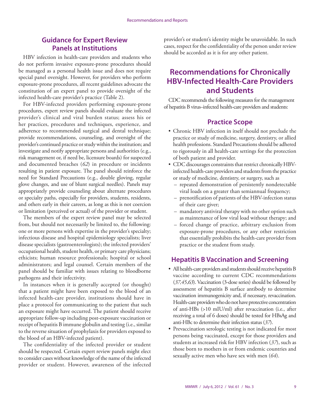### <span id="page-10-0"></span>**Guidance for Expert Review Panels at Institutions**

HBV infection in health-care providers and students who do not perform invasive exposure-prone procedures should be managed as a personal health issue and does not require special panel oversight. However, for providers who perform exposure-prone procedures, all recent guidelines advocate the constitution of an expert panel to provide oversight of the infected health-care provider's practice (Table 2).

For HBV-infected providers performing exposure-prone procedures, expert review panels should evaluate the infected provider's clinical and viral burden status; assess his or her practices, procedures and techniques, experience, and adherence to recommended surgical and dental technique; provide recommendations, counseling, and oversight of the provider's continued practice or study within the institution; and investigate and notify appropriate persons and authorities (e.g., risk management or, if need be, licensure boards) for suspected and documented breaches (*62*) in procedure or incidents resulting in patient exposure. The panel should reinforce the need for Standard Precautions (e.g., double gloving, regular glove changes, and use of blunt surgical needles). Panels may appropriately provide counseling about alternate procedures or specialty paths, especially for providers, students, residents, and others early in their careers, as long as this is not coercion or limitation (perceived or actual) of the provider or student.

The members of the expert review panel may be selected from, but should not necessarily be limited to, the following: one or more persons with expertise in the provider's specialty; infectious disease and hospital epidemiology specialists; liver disease specialists (gastroenterologists); the infected providers' occupational health, student health, or primary care physicians; ethicists; human resource professionals; hospital or school administrators; and legal counsel. Certain members of the panel should be familiar with issues relating to bloodborne pathogens and their infectivity.

In instances when it is generally accepted (or thought) that a patient might have been exposed to the blood of an infected health-care provider, institutions should have in place a protocol for communicating to the patient that such an exposure might have occurred. The patient should receive appropriate follow-up including post-exposure vaccination or receipt of hepatitis B immune globulin and testing (i.e., similar to the reverse situation of prophylaxis for providers exposed to the blood of an HBV-infected patient).

The confidentiality of the infected provider or student should be respected. Certain expert review panels might elect to consider cases without knowledge of the name of the infected provider or student. However, awareness of the infected

provider's or student's identity might be unavoidable. In such cases, respect for the confidentiality of the person under review should be accorded as it is for any other patient.

# **Recommendations for Chronically HBV-Infected Health-Care Providers and Students**

CDC recommends the following measures for the management of hepatitis B virus–infected health-care providers and students:

### **Practice Scope**

- Chronic HBV infection in itself should not preclude the practice or study of medicine, surgery, dentistry, or allied health professions. Standard Precautions should be adhered to rigorously in all health-care settings for the protection of both patient and provider.
- CDC discourages constraints that restrict chronically HBVinfected health-care providers and students from the practice or study of medicine, dentistry, or surgery, such as
	- repeated demonstration of persistently nondetectable viral loads on a greater than semiannual frequency;
	- prenotification of patients of the HBV-infection status of their care giver;
	- mandatory antiviral therapy with no other option such as maintenance of low viral load without therapy; and
	- forced change of practice, arbitrary exclusion from exposure-prone procedures, or any other restriction that essentially prohibits the health-care provider from practice or the student from study.

### **Hepatitis B Vaccination and Screening**

- All health-care providers and students should receive hepatitis B vaccine according to current CDC recommendations (*37,45*,*63*). Vaccination (3-dose series) should be followed by assessment of hepatitis B surface antibody to determine vaccination immunogenicity and, if necessary, revaccination. Health-care providers who do not have protective concentration of anti-HBs (>10 mIU/ml) after revaccination (i.e., after receiving a total of 6 doses) should be tested for HBsAg and anti-HBc to determine their infection status (*37*).
- Prevaccination serologic testing is not indicated for most persons being vaccinated, except for those providers and students at increased risk for HBV infection (*37*), such as those born to mothers in or from endemic countries and sexually active men who have sex with men (*64*).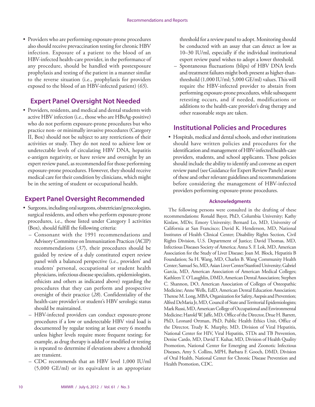<span id="page-11-0"></span>• Providers who are performing exposure-prone procedures also should receive prevaccination testing for chronic HBV infection. Exposure of a patient to the blood of an HBV-infected health-care provider, in the performance of any procedure, should be handled with postexposure prophylaxis and testing of the patient in a manner similar to the reverse situation (i.e., prophylaxis for providers exposed to the blood of an HBV-infected patient) (*65*).

### **Expert Panel Oversight Not Needed**

• Providers, residents, and medical and dental students with active HBV infection (i.e., those who are HBsAg-positive) who do not perform exposure-prone procedures but who practice non- or minimally invasive procedures (Category II, Box) should not be subject to any restrictions of their activities or study. They do not need to achieve low or undetectable levels of circulating HBV DNA, hepatitis e-antigen negativity, or have review and oversight by an expert review panel, as recommended for those performing exposure-prone procedures. However, they should receive medical care for their condition by clinicians, which might be in the setting of student or occupational health.

# **Expert Panel Oversight Recommended**

- Surgeons, including oral surgeons, obstetrician/gynecologists, surgical residents, and others who perform exposure-prone procedures, i.e., those listed under Category I activities (Box), should fulfill the following criteria:
	- Consonant with the 1991 recommendations and Advisory Committee on Immunization Practices (ACIP) recommendations (*37*), their procedures should be guided by review of a duly constituted expert review panel with a balanced perspective (i.e., providers' and students' personal, occupational or student health physicians, infectious disease specialists, epidemiologists, ethicists and others as indicated above) regarding the procedures that they can perform and prospective oversight of their practice (*28*). Confidentiality of the health-care provider's or student's HBV serologic status should be maintained.
	- HBV-infected providers can conduct exposure-prone procedures if a low or undetectable HBV viral load is documented by regular testing at least every 6 months unless higher levels require more frequent testing; for example, as drug therapy is added or modified or testing is repeated to determine if elevations above a threshold are transient.
	- CDC recommends that an HBV level 1,000 IU/ml (5,000 GE/ml) or its equivalent is an appropriate

threshold for a review panel to adopt. Monitoring should be conducted with an assay that can detect as low as 10–30 IU/ml, especially if the individual institutional expert review panel wishes to adopt a lower threshold.

– Spontaneous fluctuations (blips) of HBV DNA levels and treatment failures might both present as higher-thanthreshold (1,000 IU/ml; 5,000 GE/ml) values. This will require the HBV-infected provider to abstain from performing exposure-prone procedures, while subsequent retesting occurs, and if needed, modifications or additions to the health-care provider's drug therapy and other reasonable steps are taken.

# **Institutional Policies and Procedures**

• Hospitals, medical and dental schools, and other institutions should have written policies and procedures for the identification and management of HBV-infected health-care providers, students, and school applicants. These policies should include the ability to identify and convene an expert review panel (see Guidance for Expert Review Panels) aware of these and other relevant guidelines and recommendations before considering the management of HBV-infected providers performing exposure-prone procedures.

### **Acknowledgments**

The following persons were consulted in the drafting of these recommendations: Ronald Bayer, PhD, Columbia University; Kathy Kinlaw, MDiv, Emory University; Bernard Lo, MD, University of California at San Francisco; David K. Henderson, MD, National Institutes of Health Clinical Center; Disability Rights Section, Civil Rights Division, U.S. Department of Justice; David Thomas, MD, Infectious Diseases Society of America; Anna S. F. Lok, MD, American Association for the Study of Liver Disease; Joan M. Block, Hepatitis B Foundation; Su H. Wang, MD, Charles B. Wang Community Health Center; Samuel So, MD, Asian Liver Center/Stanford University; Gabriel Garcia, MD, American Association of American Medical Colleges; Kathleen T. O'Laughlin, DMD, American Dental Association; Stephen C. Shannon, DO, American Association of Colleges of Osteopathic Medicine; Anne Wells, EdD, American Dental Education Association; Therese M. Long, MBA, Organization for Safety, Asepsis and Prevention; Alfred DeMaria Jr, MD, Council of State and Territorial Epidemiologists; Mark Russi, MD, American College of Occupational and Environmental Medicine; Harold W. Jaffe, MD, Office of the Director, Drue H. Barrett, PhD, Leonard Ortman, PhD, Public Health Ethics Unit, Office of the Director, Trudy K. Murphy, MD, Division of Viral Hepatitis, National Center for HIV, Viral Hepatitis, STDs and TB Prevention, Denise Cardo, MD, David T. Kuhar, MD, Division of Health Quality Promotion, National Center for Emerging and Zoonotic Infectious Diseases, Amy S. Collins, MPH, Barbara F. Gooch, DMD, Division of Oral Health, National Center for Chronic Disease Prevention and Health Promotion, CDC.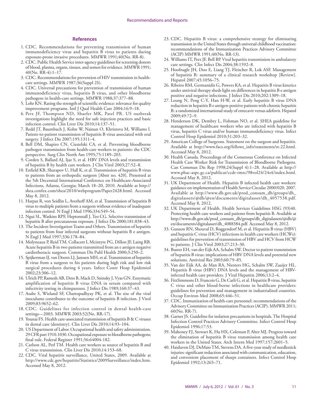#### **References**

- 1. CDC. Recommendations for preventing transmission of human immunodeficiency virus and hepatitis B virus to patients during exposure-prone invasive procedures. MMWR 1991;40(No. RR-8).
- 2. CDC. Public Health Service inter-agency guidelines for screening donors of blood, plasma, organs, tissues, and semen for evidence. MMWR 1991; 40(No. RR-4):1–17.
- 3. CDC. Recommendations for prevention of HIV transmission in healthcare settings. MMWR 1987;36(Suppl 2S).
- 4. CDC. Universal precautions for prevention of transmission of human immunodeficiency virus, hepatitis B virus, and other bloodborne pathogens in health-care settings. MMWR 1988;37:377–88.
- 5. Lohr KN. Rating the strength of scientific evidence: relevance for quality improvement programs. Intl J Qual Health Care 2004;16:9–18.
- 6. Perz JF, Thompson ND, Shaefer MK, Patel PR. US outbreak investigations highlight the need for safe injection practices and basic infection control. Clin Liver Dis 2010;14:137–51.
- 7. Redd JT, Baumbach J, Kohn W, Nainan O, Khristova M, Williams I. Patient-to-patient transmission of hepatitis B virus associated with oral surgery. J Infect Dis 2007;195:1311–4.
- 8. Bell DM, Shapiro CN, Ciesielski CA, et al. Preventing bloodborne pathogen transmission from health-care workers to patients: the CDC perspective. Surg Clin North Am 1995;75:1189–203.
- 9. Corden S, Ballard AJ, Ijaz S, et al. HBV DNA levels and transmission of hepatitis B by health care workers. J Clin Virol 2003;27:52–8.
- 10. Enfield KB, Sharapov U, Hall K, et al. Transmission of hepatitis B virus to patients from an orthopedic surgeon [Abstr no. 420]. Presented at the 5th Decennial International Conference on Healthcare-Associated Infections, Atlanta, Georgia; March 18–20, 2010. Available at [http://](http://shea.confex.com/shea/2010/webprogram/Paper2428.html) [shea.confex.com/shea/2010/webprogram/Paper2428.html.](http://shea.confex.com/shea/2010/webprogram/Paper2428.html) Accessed May 8, 2012.
- 11. Harpaz R, von Seidlin L, Averhoff AM, et al. Transmission of hepatitis B virus to multiple patients from a surgeon without evidence of inadequate infection control. N Engl J Med 1996;334:549–54.
- 12. Ngui SL, Watkins RPF, Heptonstall J, Teo CG. Selective transmission of hepatitis B after percutaneous exposure. J Infect Dis 2000;181:838–43.
- 13. The Incident Investigation Teams and Others. Transmission of hepatitis to patients from four infected surgeons without hepatitis B e antigen. N Engl J Med 1997;336:178–84.
- 14. Molyneaux P, Reid TM, Collacott I, Mcintyre PG, Dillon JF, Laing RB. Acute hepatitis B in two patients transmitted from an e antigen negative cardiothoracic surgeon. Commun Dis Publ Health 2000;3:250–2.
- 15. Spijkerman IJ, van Doorn LJ, Janssen MH, et al. Transmission of hepatitis B virus from a surgeon to his patients during high risk and low risk surgical procedures during 4 years. Infect Contr Hosp Epidemiol 2002;23:306–12.
- 16. Ulrich PP, Ramesh AB, Deto B, Mack D, Sninsky J, Vyas GN. Enzymatic amplification of hepatitis B virus DNA in serum compared with infectivity testing in chimpanzees. J Infect Dis 1989;160:37–43.
- 17. Asabe S, Wieland SF, Chattopadhyay PK, et al. The size of the viral inoculums contributes to the outcome of hepatitis B infection. J Virol 2009;83:9652–62.
- 18. CDC. Guidelines for infection control in dental health-care settings—2003. MMWR 2003;52(No. RR-17).
- 19. Younai FS. Health care-associated transmission of hepatitis B & C viruses in dental care (dentistry). Clin Liver Dis 2010;14:93–104.
- 20. US Department of Labor. Occupational health and safety administration. 29 CFR part 1910.1030. Occupational exposure to bloodborne pathogens; final rule. Federal Register 1991;56:64004-182.
- 21. Carlson AL, Perl TM. Health care workers as source of hepatitis B and C virus transmission. Clin Liver Dis 2010;14:153–68.
- 22. CDC. Viral hepatitis surveillance, United States, 2009. Available at <http://www.cdc.gov/hepatitis/Statistics/2009Surveillance/index.htm>. Accessed May 8, 2012.
- 23. CDC. Hepatitis B virus: a comprehensive strategy for eliminating transmission in the United States through universal childhood vaccination: recommendations of the Immunization Practices Advisory Committee (ACIP) MMWR 1991;40(No. RR-13).
- 24. Williams IT, Perz JF, Bell BP. Viral hepatitis transmission in ambulatory care settings. Clin Infect Dis 2004;38:1592–8.
- 25. Hoofnagle JH, Doo E, Liang TJ, Fleischer R, Lok ASF. Management of hepatitis B: summary of a clinical research workshop [Review]. Hepatol 2007;45:1056–75.
- 26. Ribeiro RM, Germanidis G, Powers KA, et al. Hepatitis B virus kinetics under antiviral therapy sheds light on differences in hepatitis B e antigen positive and negative infections. J Infect Dis 2010;202:1309–18.
- 27. Leung N, Peng C-Y, Han H-W, et al. Early hepatitis B virus DNA reduction in hepatitis B e antigen-positive patients with chronic hepatitis B: a randomized international study of entecavir versus adefovir. Hepatol 2009;49:72–9.
- 28. Henderson DK, Dembry L, Fishman NO, et al. SHEA guideline for management of healthcare workers who are infected with hepatitis B virus, hepatitis C virus and/or human immunodeficiency virus. Infect Control Hosp Epidemiol 2010;31:203–32.
- 29. American College of Surgeons. Statement on the surgeon and hepatitis. Available at [http://www.facs.org/fellows\\_info/statements/st-22.html.](http://www.facs.org/fellows_info/statements/st-22.html) Accessed May 8, 2012.
- 30. Health Canada. Proceedings of the Consensus Conference on Infected Health Care Worker Risk for Transmission of Bloodborne Pathogens. Can Commun Dis Rep 1998;24(Suppl 4):1–28. Available at [http://](http://www.phac-aspc.gc.ca/publicat/ccdr-rmtc/98vol24/24s4/index.html) [www.phac-aspc.gc.ca/publicat/ccdr-rmtc/98vol24/24s4/index.html.](http://www.phac-aspc.gc.ca/publicat/ccdr-rmtc/98vol24/24s4/index.html) Accessed May 8, 2012.
- 31. UK Department of Health. Hepatitis B infected health care workers: guidance on implementation of Health Service Circular 2000/020. 2007. Available at [http://www.dh.gov.uk/prod\\_consum\\_dh/groups/dh\\_](http://www.dh.gov.uk/prod_consum_dh/groups/dh_digitalassets/@dh/@en/documents/digitalasset/dh_4057538.pdf) [digitalassets/@dh/@en/documents/digitalasset/dh\\_4057538.pdf.](http://www.dh.gov.uk/prod_consum_dh/groups/dh_digitalassets/@dh/@en/documents/digitalasset/dh_4057538.pdf) Accessed May 8, 2012.
- 32. UK Department of Health. Health Services Guidelines HSG (93)40. Protecting health care workers and patients from hepatitis B. Available at [http://www.dh.gov.uk/prod\\_consum\\_dh/groups/dh\\_digitalassets/@dh/@](http://www.dh.gov.uk/prod_consum_dh/groups/dh_digitalassets/@dh/@en/documents/digitalasset/dh_4088384.pdf.) [en/documents/digitalasset/dh\\_4088384.pdf.](http://www.dh.gov.uk/prod_consum_dh/groups/dh_digitalassets/@dh/@en/documents/digitalasset/dh_4088384.pdf.) Accessed May 8, 2012.
- 33. Gunson RN, Shouval D, Roggendorf M, et al. Hepatitis B virus (HBV) and hepatitis C virus (HCV) infections in health care workers (HCWs): guidelines for prevention of transmission of HBV and HCV from HCW to patients. J Clin Virol 2003;27:213–30.
- 34. Buster EH, van der Eijk AA, Schalm SW. Doctor to patient transmission of hepatitis B virus: implications of HBV DNA levels and potential new solutions. Antiviral Res 2003;60:79–85.
- 35. Van der Eijk AA, de Man RA, Niesters HG, Schalm SW, Zaaijer HL. Hepatitis B virus (HBV) DNA levels and the management of HBVinfected health care providers. J Viral Hepatitis 2006;13:2–4.
- 36. FitzSimmons D, Francois G, De Carli G, et al. Hepatitis B virus, hepatitis C virus and other blood-borne infections in healthcare providers: guidelines for prevention and management in industrialized countries. Occup Environ Med 2008;65:446–51.
- 37. CDC. Immunization of health-care personnel: recommendations of the Advisory Committee on Immunization Practices (ACIP). MMWR 2011; 60(No. RR-7).
- 38. Garner JS. Guideline for isolation precautions in hospitals. The Hospital Infection Control Practices Advisory Committee. Infect Control Hosp Epidemiol 1996;17:53.
- 39. Mahoney FJ, Stewart K, Hu HX, Coleman P, Alter MJ. Progress toward the elimination of hepatitis B virus transmission among health care workers in the United States. Arch Intern Med 1997;157:2601–5.
- 40. Haiduven DJ, DeMaio TM, Stevens DA. A five-year study of needlestick injuries: significant reduction associated with communication, education, and convenient placement of sharps containers. Infect Control Hosp Epidemiol 1992;13:265–71.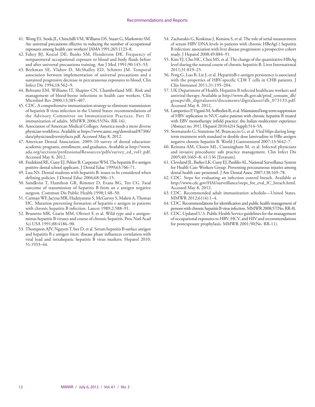- 41. Wong ES, Stoda JL, Chinchilli VM, Williams DS, Stuart G, Markowitz SM. Are universal precautions effective in reducing the number of occupational exposures among health care workers? JAMA 1991;265:1123–8.
- 42. Fahey BJ, Koziol DE, Banks SM, Henderson DK. Frequency of nonparenteral occupational exposure to blood and body fluids before and after universal precautions training. Am J Med 1991;90:145–53.
- 43. Beekman SE, Vlahov D, McShalley ED, Schmitt JM. Temporal association between implementation of universal precautions and a sustained progressive decrease in percutaneous exposures to blood. Clin Infect Dis 1994;18:562–9.
- 44. Beltrami EM, Williams IT, Shapiro CN, Chamberland ME. Risk and management of blood-borne infections in health care workers. Clin Microbiol Rev 2000;13:385–407.
- 45. CDC. A comprehensive immunization strategy to eliminate transmission of hepatitis B virus infection in the United States: recommendations of the Advisory Committee on Immunization Practices. Part II: immunization of adults. MMWR 2006;55(No. RR-16).
- 46. Association of American Medical Colleges. America needs a more diverse physician workforce. Available at [https://www.aamc.org/download/87306/](https://www.aamc.org/download/87306/data/physiciandiversityfacts.pdf) [data/physiciandiversityfacts.pdf](https://www.aamc.org/download/87306/data/physiciandiversityfacts.pdf). Accessed May 8, 2012.
- 47. American Dental Association. 2009–10 survey of dental education: academic programs, enrollment, and graduates. Available at [http://www.](http://www.ada.org/sections/professionalResources/pdfs/survey_ed_vol1.pdf) [ada.org/sections/professionalResources/pdfs/survey\\_ed\\_vol1.pdf](http://www.ada.org/sections/professionalResources/pdfs/survey_ed_vol1.pdf). Accessed May 8, 2012.
- 48. Fredekind RE, Cuny EJ, Peltier B, Carpenter WM. The hepatitis B e-antigen positive dental school applicant. J Dental Educ 1999;63:766–71.
- 49. Luu NS. Dental students with hepatitis B: issues to be considered when defining policies. J Dental Educ 2004;68:306–15.
- 50. Sundkvist T, Hamilton GR, Rimmer D, Evans BG, Teo CG. Fatal outcome of transmission of hepatitis B from an e antigen negative surgeon. Commun Dis Public Health 1998;1:48–50.
- 51. Carman WF, Jacyna MR, Hadziyannis S, McGarvey S, Makris A, Thomas HC. Mutation preventing formation of hepatitis e antigen in patients with chronic hepatitis B infection. Lancet 1989;2:588–91.
- 52. Brunetto MR, Giarin MM, Olivieri F, et al. Wild type and e antigenminus hepatitis B viruses and course of chronic hepatitis. Proc Natl Acad Sci USA 1991;88:4186–90.
- 53. Thompson AJV, Nguyen T, Iser D, et al. Serum hepatitis B surface antigen and hepatitis B e antigen titers: disease phase influences correlation with viral load and intrahepatic hepatitis B virus markers. Hepatol 2010; 51:1933–44.
- 54. Zacharakis G, Koskinas J, Kotsiou S, et al. The role of serial measurement of serum HBV DNA levels in patients with chronic HBeAg(-) hepatitis B infection: association with liver disease progression: a prospective cohort study. J Hepatol 2008;49:884–91.
- 55. Kim YJ, Cho HC, Choi MS, et al. The change of the quantitative HBsAg level during the natural course of chronic hepatitis B. Liver International 2011;31:819–25.
- 56. Peng G, Luo B, Lie J, et al. HepatitisB e-antigen persistency is associated with the properties of HBV-specific CD8 T cells in CHB patients. J Clin Immunol 2011;31:195–204.
- 57. UK Department of Health. Hepatitis B infected healthcare workers and antiviral therapy. Available at [http://www.dh.gov.uk/prod\\_consum\\_dh/](http://www.dh.gov.uk/prod_consum_dh/groups/dh_digitalassets/documents/digitalasset/dh_073133.pdf) [groups/dh\\_digitalassets/documents/digitalasset/dh\\_073133.pdf.](http://www.dh.gov.uk/prod_consum_dh/groups/dh_digitalassets/documents/digitalasset/dh_073133.pdf) Accessed May 8, 2012.
- 58. Lampertico P, Viganò M, Soffredini R, et al. Maintained long-term suppression of HBV replication in NUC-naïve patients with chronic hepatitis B treated with EBV monotherapy infield practice: the Italian multicenter experience [Abstract no. 391]. Hepatol 2010;42(4 Suppl):514–5A.
- 59. Stornaiuolo G, Stanzione M, Brancaccio G, et al. Viral blips during longterm treatment with standard or double dose lamivudine in HBe antigen negative chronic hepatitis B. World J Gastroenterol 2007;13:5642–7.
- 60. Reitsma AM, Closen ML, Cunningham M, et al. Infected physicians and invasive procedures: safe practice management. Clin Infect Dis 2005;40:1665–8; 41:136 [Erratum].
- 61. Cleveland JL, Barker LK, Cuny EJ, Panlilio AL, National Surveillance System for Health Care Workers Group. Preventing percutaneous injuries among dental health care personnel. J Am Dental Assoc 2007;138:169–78.
- 62. CDC. Steps for evaluating an infection control breach. Available at [http://www.cdc.gov/HAI/surveillance/steps\\_for\\_eval\\_IC\\_breach.html.](http://www.cdc.gov/HAI/surveillance/steps_for_eval_IC_breach.html) Accessed May 8, 2012.
- 63. CDC. Recommended adult immunization schedule—United States. MMWR 2012;61(4):1–4.
- 64. CDC. Recommendations for identification and public health management of persons with chronic hepatitis B virus infection. MMWR 2008;57(No. RR-8).
- 65. CDC. Updated U.S. Public Health Service guidelines for the management of occupational exposures to HBV, HCV, and HIV and recommendations for postexposure prophylaxis. MMWR 2001;50(No. RR-11).